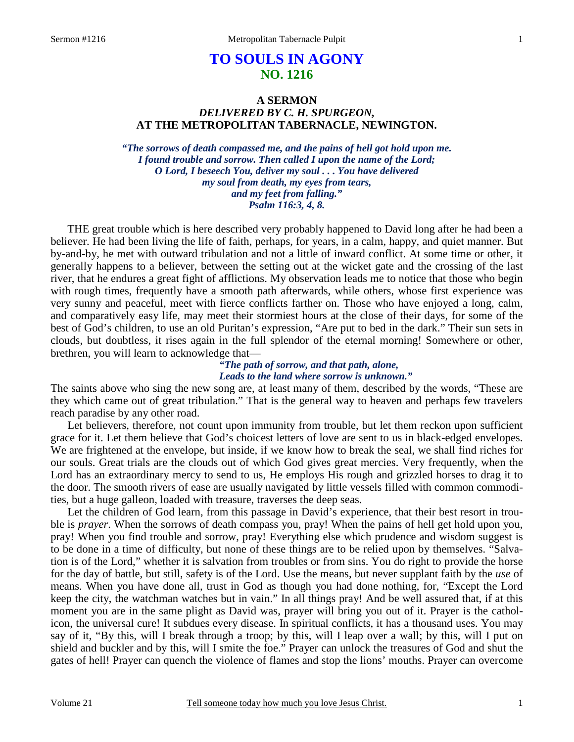# **TO SOULS IN AGONY NO. 1216**

## **A SERMON**  *DELIVERED BY C. H. SPURGEON,*  **AT THE METROPOLITAN TABERNACLE, NEWINGTON.**

*"The sorrows of death compassed me, and the pains of hell got hold upon me. I found trouble and sorrow. Then called I upon the name of the Lord; O Lord, I beseech You, deliver my soul . . . You have delivered my soul from death, my eyes from tears, and my feet from falling." Psalm 116:3, 4, 8.* 

THE great trouble which is here described very probably happened to David long after he had been a believer. He had been living the life of faith, perhaps, for years, in a calm, happy, and quiet manner. But by-and-by, he met with outward tribulation and not a little of inward conflict. At some time or other, it generally happens to a believer, between the setting out at the wicket gate and the crossing of the last river, that he endures a great fight of afflictions. My observation leads me to notice that those who begin with rough times, frequently have a smooth path afterwards, while others, whose first experience was very sunny and peaceful, meet with fierce conflicts farther on. Those who have enjoyed a long, calm, and comparatively easy life, may meet their stormiest hours at the close of their days, for some of the best of God's children, to use an old Puritan's expression, "Are put to bed in the dark." Their sun sets in clouds, but doubtless, it rises again in the full splendor of the eternal morning! Somewhere or other, brethren, you will learn to acknowledge that—

## *"The path of sorrow, and that path, alone, Leads to the land where sorrow is unknown."*

The saints above who sing the new song are, at least many of them, described by the words, "These are they which came out of great tribulation." That is the general way to heaven and perhaps few travelers reach paradise by any other road.

 Let believers, therefore, not count upon immunity from trouble, but let them reckon upon sufficient grace for it. Let them believe that God's choicest letters of love are sent to us in black-edged envelopes. We are frightened at the envelope, but inside, if we know how to break the seal, we shall find riches for our souls. Great trials are the clouds out of which God gives great mercies. Very frequently, when the Lord has an extraordinary mercy to send to us, He employs His rough and grizzled horses to drag it to the door. The smooth rivers of ease are usually navigated by little vessels filled with common commodities, but a huge galleon, loaded with treasure, traverses the deep seas.

 Let the children of God learn, from this passage in David's experience, that their best resort in trouble is *prayer*. When the sorrows of death compass you, pray! When the pains of hell get hold upon you, pray! When you find trouble and sorrow, pray! Everything else which prudence and wisdom suggest is to be done in a time of difficulty, but none of these things are to be relied upon by themselves. "Salvation is of the Lord," whether it is salvation from troubles or from sins. You do right to provide the horse for the day of battle, but still, safety is of the Lord. Use the means, but never supplant faith by the *use* of means. When you have done all, trust in God as though you had done nothing, for, "Except the Lord keep the city, the watchman watches but in vain." In all things pray! And be well assured that, if at this moment you are in the same plight as David was, prayer will bring you out of it. Prayer is the catholicon, the universal cure! It subdues every disease. In spiritual conflicts, it has a thousand uses. You may say of it, "By this, will I break through a troop; by this, will I leap over a wall; by this, will I put on shield and buckler and by this, will I smite the foe." Prayer can unlock the treasures of God and shut the gates of hell! Prayer can quench the violence of flames and stop the lions' mouths. Prayer can overcome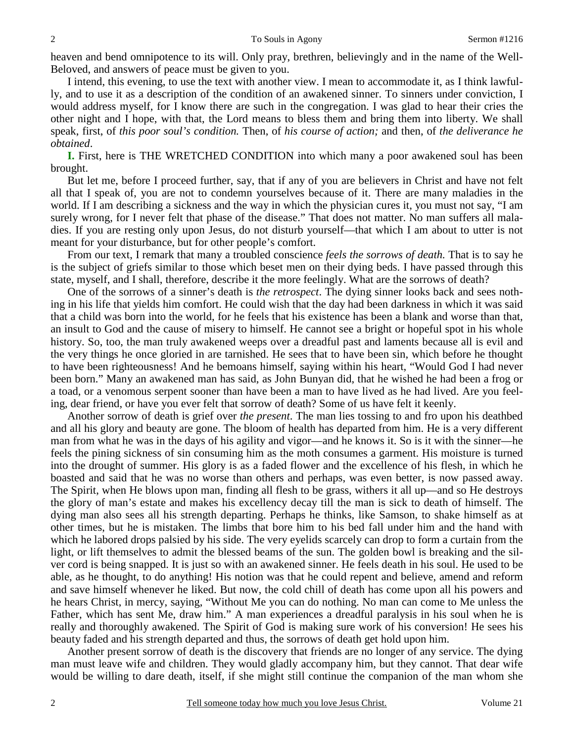heaven and bend omnipotence to its will. Only pray, brethren, believingly and in the name of the Well-Beloved, and answers of peace must be given to you.

 I intend, this evening, to use the text with another view. I mean to accommodate it, as I think lawfully, and to use it as a description of the condition of an awakened sinner. To sinners under conviction, I would address myself, for I know there are such in the congregation. I was glad to hear their cries the other night and I hope, with that, the Lord means to bless them and bring them into liberty. We shall speak, first, of *this poor soul's condition.* Then, of *his course of action;* and then, of *the deliverance he obtained*.

**I.** First, here is THE WRETCHED CONDITION into which many a poor awakened soul has been brought.

 But let me, before I proceed further, say, that if any of you are believers in Christ and have not felt all that I speak of, you are not to condemn yourselves because of it. There are many maladies in the world. If I am describing a sickness and the way in which the physician cures it, you must not say, "I am surely wrong, for I never felt that phase of the disease." That does not matter. No man suffers all maladies. If you are resting only upon Jesus, do not disturb yourself—that which I am about to utter is not meant for your disturbance, but for other people's comfort.

 From our text, I remark that many a troubled conscience *feels the sorrows of death.* That is to say he is the subject of griefs similar to those which beset men on their dying beds. I have passed through this state, myself, and I shall, therefore, describe it the more feelingly. What are the sorrows of death?

 One of the sorrows of a sinner's death is *the retrospect*. The dying sinner looks back and sees nothing in his life that yields him comfort. He could wish that the day had been darkness in which it was said that a child was born into the world, for he feels that his existence has been a blank and worse than that, an insult to God and the cause of misery to himself. He cannot see a bright or hopeful spot in his whole history. So, too, the man truly awakened weeps over a dreadful past and laments because all is evil and the very things he once gloried in are tarnished. He sees that to have been sin, which before he thought to have been righteousness! And he bemoans himself, saying within his heart, "Would God I had never been born." Many an awakened man has said, as John Bunyan did, that he wished he had been a frog or a toad, or a venomous serpent sooner than have been a man to have lived as he had lived. Are you feeling, dear friend, or have you ever felt that sorrow of death? Some of us have felt it keenly.

 Another sorrow of death is grief over *the present*. The man lies tossing to and fro upon his deathbed and all his glory and beauty are gone. The bloom of health has departed from him. He is a very different man from what he was in the days of his agility and vigor—and he knows it. So is it with the sinner—he feels the pining sickness of sin consuming him as the moth consumes a garment. His moisture is turned into the drought of summer. His glory is as a faded flower and the excellence of his flesh, in which he boasted and said that he was no worse than others and perhaps, was even better, is now passed away. The Spirit, when He blows upon man, finding all flesh to be grass, withers it all up—and so He destroys the glory of man's estate and makes his excellency decay till the man is sick to death of himself. The dying man also sees all his strength departing. Perhaps he thinks, like Samson, to shake himself as at other times, but he is mistaken. The limbs that bore him to his bed fall under him and the hand with which he labored drops palsied by his side. The very eyelids scarcely can drop to form a curtain from the light, or lift themselves to admit the blessed beams of the sun. The golden bowl is breaking and the silver cord is being snapped. It is just so with an awakened sinner. He feels death in his soul. He used to be able, as he thought, to do anything! His notion was that he could repent and believe, amend and reform and save himself whenever he liked. But now, the cold chill of death has come upon all his powers and he hears Christ, in mercy, saying, "Without Me you can do nothing. No man can come to Me unless the Father, which has sent Me, draw him." A man experiences a dreadful paralysis in his soul when he is really and thoroughly awakened. The Spirit of God is making sure work of his conversion! He sees his beauty faded and his strength departed and thus, the sorrows of death get hold upon him.

 Another present sorrow of death is the discovery that friends are no longer of any service. The dying man must leave wife and children. They would gladly accompany him, but they cannot. That dear wife would be willing to dare death, itself, if she might still continue the companion of the man whom she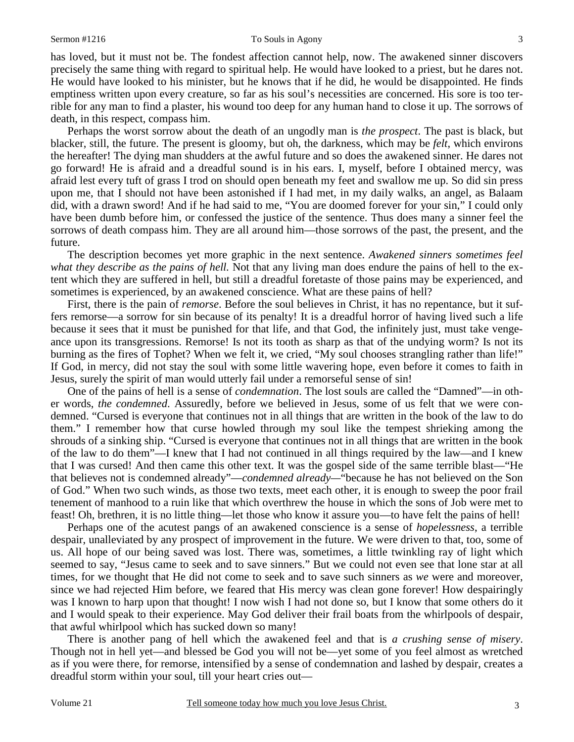#### Sermon #1216 To Souls in Agony

has loved, but it must not be. The fondest affection cannot help, now. The awakened sinner discovers precisely the same thing with regard to spiritual help. He would have looked to a priest, but he dares not. He would have looked to his minister, but he knows that if he did, he would be disappointed. He finds emptiness written upon every creature, so far as his soul's necessities are concerned. His sore is too terrible for any man to find a plaster, his wound too deep for any human hand to close it up. The sorrows of death, in this respect, compass him.

 Perhaps the worst sorrow about the death of an ungodly man is *the prospect*. The past is black, but blacker, still, the future. The present is gloomy, but oh, the darkness, which may be *felt*, which environs the hereafter! The dying man shudders at the awful future and so does the awakened sinner. He dares not go forward! He is afraid and a dreadful sound is in his ears. I, myself, before I obtained mercy, was afraid lest every tuft of grass I trod on should open beneath my feet and swallow me up. So did sin press upon me, that I should not have been astonished if I had met, in my daily walks, an angel, as Balaam did, with a drawn sword! And if he had said to me, "You are doomed forever for your sin," I could only have been dumb before him, or confessed the justice of the sentence. Thus does many a sinner feel the sorrows of death compass him. They are all around him—those sorrows of the past, the present, and the future.

 The description becomes yet more graphic in the next sentence. *Awakened sinners sometimes feel what they describe as the pains of hell.* Not that any living man does endure the pains of hell to the extent which they are suffered in hell, but still a dreadful foretaste of those pains may be experienced, and sometimes is experienced, by an awakened conscience. What are these pains of hell?

 First, there is the pain of *remorse*. Before the soul believes in Christ, it has no repentance, but it suffers remorse—a sorrow for sin because of its penalty! It is a dreadful horror of having lived such a life because it sees that it must be punished for that life, and that God, the infinitely just, must take vengeance upon its transgressions. Remorse! Is not its tooth as sharp as that of the undying worm? Is not its burning as the fires of Tophet? When we felt it, we cried, "My soul chooses strangling rather than life!" If God, in mercy, did not stay the soul with some little wavering hope, even before it comes to faith in Jesus, surely the spirit of man would utterly fail under a remorseful sense of sin!

 One of the pains of hell is a sense of *condemnation*. The lost souls are called the "Damned"—in other words, *the condemned*. Assuredly, before we believed in Jesus, some of us felt that we were condemned. "Cursed is everyone that continues not in all things that are written in the book of the law to do them." I remember how that curse howled through my soul like the tempest shrieking among the shrouds of a sinking ship. "Cursed is everyone that continues not in all things that are written in the book of the law to do them"—I knew that I had not continued in all things required by the law—and I knew that I was cursed! And then came this other text. It was the gospel side of the same terrible blast—"He that believes not is condemned already"—*condemned already—*"because he has not believed on the Son of God." When two such winds, as those two texts, meet each other, it is enough to sweep the poor frail tenement of manhood to a ruin like that which overthrew the house in which the sons of Job were met to feast! Oh, brethren, it is no little thing—let those who know it assure you—to have felt the pains of hell!

 Perhaps one of the acutest pangs of an awakened conscience is a sense of *hopelessness*, a terrible despair, unalleviated by any prospect of improvement in the future. We were driven to that, too, some of us. All hope of our being saved was lost. There was, sometimes, a little twinkling ray of light which seemed to say, "Jesus came to seek and to save sinners." But we could not even see that lone star at all times, for we thought that He did not come to seek and to save such sinners as *we* were and moreover, since we had rejected Him before, we feared that His mercy was clean gone forever! How despairingly was I known to harp upon that thought! I now wish I had not done so, but I know that some others do it and I would speak to their experience. May God deliver their frail boats from the whirlpools of despair, that awful whirlpool which has sucked down so many!

 There is another pang of hell which the awakened feel and that is *a crushing sense of misery*. Though not in hell yet—and blessed be God you will not be—yet some of you feel almost as wretched as if you were there, for remorse, intensified by a sense of condemnation and lashed by despair, creates a dreadful storm within your soul, till your heart cries out—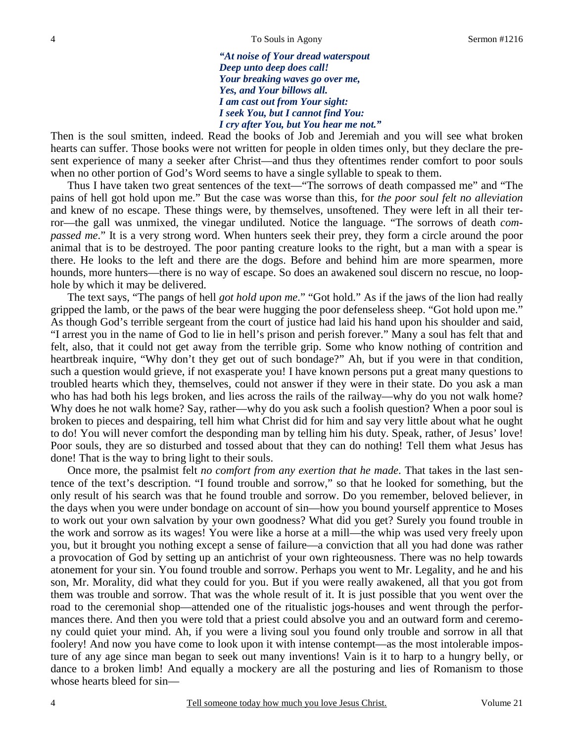*"At noise of Your dread waterspout Deep unto deep does call! Your breaking waves go over me, Yes, and Your billows all. I am cast out from Your sight: I seek You, but I cannot find You: I cry after You, but You hear me not."* 

Then is the soul smitten, indeed. Read the books of Job and Jeremiah and you will see what broken hearts can suffer. Those books were not written for people in olden times only, but they declare the present experience of many a seeker after Christ—and thus they oftentimes render comfort to poor souls when no other portion of God's Word seems to have a single syllable to speak to them.

 Thus I have taken two great sentences of the text—"The sorrows of death compassed me" and "The pains of hell got hold upon me." But the case was worse than this, for *the poor soul felt no alleviation*  and knew of no escape. These things were, by themselves, unsoftened. They were left in all their terror—the gall was unmixed, the vinegar undiluted. Notice the language. "The sorrows of death *compassed me*." It is a very strong word. When hunters seek their prey, they form a circle around the poor animal that is to be destroyed. The poor panting creature looks to the right, but a man with a spear is there. He looks to the left and there are the dogs. Before and behind him are more spearmen, more hounds, more hunters—there is no way of escape. So does an awakened soul discern no rescue, no loophole by which it may be delivered.

 The text says, "The pangs of hell *got hold upon me*." "Got hold." As if the jaws of the lion had really gripped the lamb, or the paws of the bear were hugging the poor defenseless sheep. "Got hold upon me." As though God's terrible sergeant from the court of justice had laid his hand upon his shoulder and said, "I arrest you in the name of God to lie in hell's prison and perish forever." Many a soul has felt that and felt, also, that it could not get away from the terrible grip. Some who know nothing of contrition and heartbreak inquire, "Why don't they get out of such bondage?" Ah, but if you were in that condition, such a question would grieve, if not exasperate you! I have known persons put a great many questions to troubled hearts which they, themselves, could not answer if they were in their state. Do you ask a man who has had both his legs broken, and lies across the rails of the railway—why do you not walk home? Why does he not walk home? Say, rather—why do you ask such a foolish question? When a poor soul is broken to pieces and despairing, tell him what Christ did for him and say very little about what he ought to do! You will never comfort the desponding man by telling him his duty. Speak, rather, of Jesus' love! Poor souls, they are so disturbed and tossed about that they can do nothing! Tell them what Jesus has done! That is the way to bring light to their souls.

 Once more, the psalmist felt *no comfort from any exertion that he made*. That takes in the last sentence of the text's description. "I found trouble and sorrow," so that he looked for something, but the only result of his search was that he found trouble and sorrow. Do you remember, beloved believer, in the days when you were under bondage on account of sin—how you bound yourself apprentice to Moses to work out your own salvation by your own goodness? What did you get? Surely you found trouble in the work and sorrow as its wages! You were like a horse at a mill—the whip was used very freely upon you, but it brought you nothing except a sense of failure—a conviction that all you had done was rather a provocation of God by setting up an antichrist of your own righteousness. There was no help towards atonement for your sin. You found trouble and sorrow. Perhaps you went to Mr. Legality, and he and his son, Mr. Morality, did what they could for you. But if you were really awakened, all that you got from them was trouble and sorrow. That was the whole result of it. It is just possible that you went over the road to the ceremonial shop—attended one of the ritualistic jogs-houses and went through the performances there. And then you were told that a priest could absolve you and an outward form and ceremony could quiet your mind. Ah, if you were a living soul you found only trouble and sorrow in all that foolery! And now you have come to look upon it with intense contempt—as the most intolerable imposture of any age since man began to seek out many inventions! Vain is it to harp to a hungry belly, or dance to a broken limb! And equally a mockery are all the posturing and lies of Romanism to those whose hearts bleed for sin—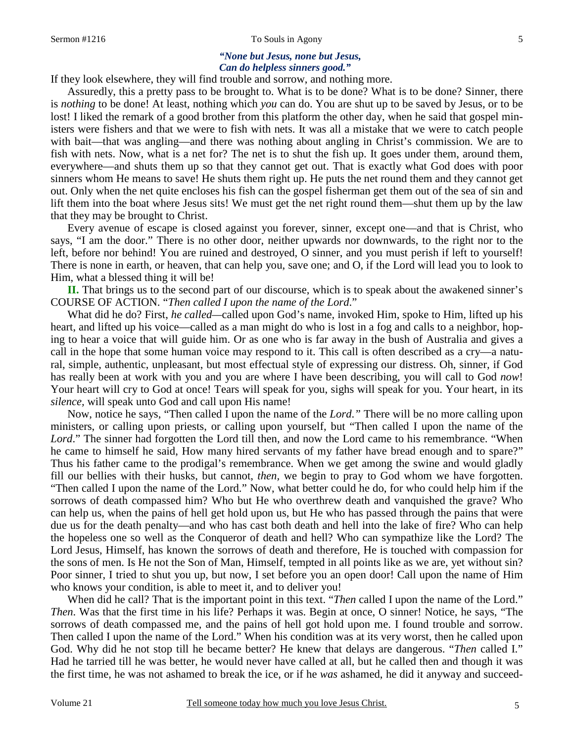#### Sermon #1216 To Souls in Agony

#### *"None but Jesus, none but Jesus, Can do helpless sinners good."*

If they look elsewhere, they will find trouble and sorrow, and nothing more.

 Assuredly, this a pretty pass to be brought to. What is to be done? What is to be done? Sinner, there is *nothing* to be done! At least, nothing which *you* can do. You are shut up to be saved by Jesus, or to be lost! I liked the remark of a good brother from this platform the other day, when he said that gospel ministers were fishers and that we were to fish with nets. It was all a mistake that we were to catch people with bait—that was angling—and there was nothing about angling in Christ's commission. We are to fish with nets. Now, what is a net for? The net is to shut the fish up. It goes under them, around them, everywhere—and shuts them up so that they cannot get out. That is exactly what God does with poor sinners whom He means to save! He shuts them right up. He puts the net round them and they cannot get out. Only when the net quite encloses his fish can the gospel fisherman get them out of the sea of sin and lift them into the boat where Jesus sits! We must get the net right round them—shut them up by the law that they may be brought to Christ.

 Every avenue of escape is closed against you forever, sinner, except one—and that is Christ, who says, "I am the door." There is no other door, neither upwards nor downwards, to the right nor to the left, before nor behind! You are ruined and destroyed, O sinner, and you must perish if left to yourself! There is none in earth, or heaven, that can help you, save one; and O, if the Lord will lead you to look to Him, what a blessed thing it will be!

**II.** That brings us to the second part of our discourse, which is to speak about the awakened sinner's COURSE OF ACTION. "*Then called I upon the name of the Lord*."

 What did he do? First, *he called—*called upon God's name, invoked Him, spoke to Him, lifted up his heart, and lifted up his voice—called as a man might do who is lost in a fog and calls to a neighbor, hoping to hear a voice that will guide him. Or as one who is far away in the bush of Australia and gives a call in the hope that some human voice may respond to it. This call is often described as a cry—a natural, simple, authentic, unpleasant, but most effectual style of expressing our distress. Oh, sinner, if God has really been at work with you and you are where I have been describing, you will call to God *now*! Your heart will cry to God at once! Tears will speak for you, sighs will speak for you. Your heart, in its *silence,* will speak unto God and call upon His name!

 Now, notice he says, "Then called I upon the name of the *Lord*.*"* There will be no more calling upon ministers, or calling upon priests, or calling upon yourself, but "Then called I upon the name of the Lord." The sinner had forgotten the Lord till then, and now the Lord came to his remembrance. "When he came to himself he said, How many hired servants of my father have bread enough and to spare?" Thus his father came to the prodigal's remembrance. When we get among the swine and would gladly fill our bellies with their husks, but cannot, *then,* we begin to pray to God whom we have forgotten. "Then called I upon the name of the Lord." Now, what better could he do, for who could help him if the sorrows of death compassed him? Who but He who overthrew death and vanquished the grave? Who can help us, when the pains of hell get hold upon us, but He who has passed through the pains that were due us for the death penalty—and who has cast both death and hell into the lake of fire? Who can help the hopeless one so well as the Conqueror of death and hell? Who can sympathize like the Lord? The Lord Jesus, Himself, has known the sorrows of death and therefore, He is touched with compassion for the sons of men. Is He not the Son of Man, Himself, tempted in all points like as we are, yet without sin? Poor sinner, I tried to shut you up, but now, I set before you an open door! Call upon the name of Him who knows your condition, is able to meet it, and to deliver you!

 When did he call? That is the important point in this text. "*Then* called I upon the name of the Lord." *Then*. Was that the first time in his life? Perhaps it was. Begin at once, O sinner! Notice, he says, "The sorrows of death compassed me, and the pains of hell got hold upon me. I found trouble and sorrow. Then called I upon the name of the Lord." When his condition was at its very worst, then he called upon God. Why did he not stop till he became better? He knew that delays are dangerous. "*Then* called I." Had he tarried till he was better, he would never have called at all, but he called then and though it was the first time, he was not ashamed to break the ice, or if he *was* ashamed, he did it anyway and succeed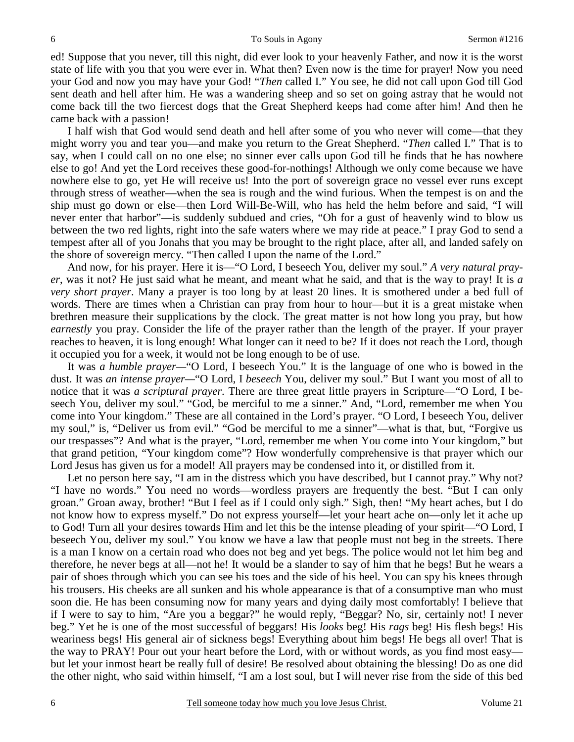ed! Suppose that you never, till this night, did ever look to your heavenly Father, and now it is the worst state of life with you that you were ever in. What then? Even now is the time for prayer! Now you need your God and now you may have your God! "*Then* called I." You see, he did not call upon God till God sent death and hell after him. He was a wandering sheep and so set on going astray that he would not come back till the two fiercest dogs that the Great Shepherd keeps had come after him! And then he came back with a passion!

 I half wish that God would send death and hell after some of you who never will come—that they might worry you and tear you—and make you return to the Great Shepherd. "*Then* called I." That is to say, when I could call on no one else; no sinner ever calls upon God till he finds that he has nowhere else to go! And yet the Lord receives these good-for-nothings! Although we only come because we have nowhere else to go, yet He will receive us! Into the port of sovereign grace no vessel ever runs except through stress of weather—when the sea is rough and the wind furious. When the tempest is on and the ship must go down or else—then Lord Will-Be-Will, who has held the helm before and said, "I will never enter that harbor"—is suddenly subdued and cries, "Oh for a gust of heavenly wind to blow us between the two red lights, right into the safe waters where we may ride at peace." I pray God to send a tempest after all of you Jonahs that you may be brought to the right place, after all, and landed safely on the shore of sovereign mercy. "Then called I upon the name of the Lord."

 And now, for his prayer. Here it is—"O Lord, I beseech You, deliver my soul." *A very natural prayer*, was it not? He just said what he meant, and meant what he said, and that is the way to pray! It is *a very short prayer*. Many a prayer is too long by at least 20 lines. It is smothered under a bed full of words. There are times when a Christian can pray from hour to hour—but it is a great mistake when brethren measure their supplications by the clock. The great matter is not how long you pray, but how *earnestly* you pray. Consider the life of the prayer rather than the length of the prayer. If your prayer reaches to heaven, it is long enough! What longer can it need to be? If it does not reach the Lord, though it occupied you for a week, it would not be long enough to be of use.

 It was *a humble prayer—*"O Lord, I beseech You." It is the language of one who is bowed in the dust. It was *an intense prayer—*"O Lord, I *beseech* You, deliver my soul." But I want you most of all to notice that it was *a scriptural prayer*. There are three great little prayers in Scripture—"O Lord, I beseech You, deliver my soul." "God, be merciful to me a sinner." And, "Lord, remember me when You come into Your kingdom." These are all contained in the Lord's prayer. "O Lord, I beseech You, deliver my soul," is, "Deliver us from evil." "God be merciful to me a sinner"—what is that, but, "Forgive us our trespasses"? And what is the prayer, "Lord, remember me when You come into Your kingdom," but that grand petition, "Your kingdom come"? How wonderfully comprehensive is that prayer which our Lord Jesus has given us for a model! All prayers may be condensed into it, or distilled from it.

 Let no person here say, "I am in the distress which you have described, but I cannot pray." Why not? "I have no words." You need no words—wordless prayers are frequently the best. "But I can only groan." Groan away, brother! "But I feel as if I could only sigh." Sigh, then! "My heart aches, but I do not know how to express myself." Do not express yourself—let your heart ache on—only let it ache up to God! Turn all your desires towards Him and let this be the intense pleading of your spirit—"O Lord, I beseech You, deliver my soul." You know we have a law that people must not beg in the streets. There is a man I know on a certain road who does not beg and yet begs. The police would not let him beg and therefore, he never begs at all—not he! It would be a slander to say of him that he begs! But he wears a pair of shoes through which you can see his toes and the side of his heel. You can spy his knees through his trousers. His cheeks are all sunken and his whole appearance is that of a consumptive man who must soon die. He has been consuming now for many years and dying daily most comfortably! I believe that if I were to say to him, "Are you a beggar?" he would reply, "Beggar? No, sir, certainly not! I never beg." Yet he is one of the most successful of beggars! His *looks* beg! His *rags* beg! His flesh begs! His weariness begs! His general air of sickness begs! Everything about him begs! He begs all over! That is the way to PRAY! Pour out your heart before the Lord, with or without words, as you find most easy but let your inmost heart be really full of desire! Be resolved about obtaining the blessing! Do as one did the other night, who said within himself, "I am a lost soul, but I will never rise from the side of this bed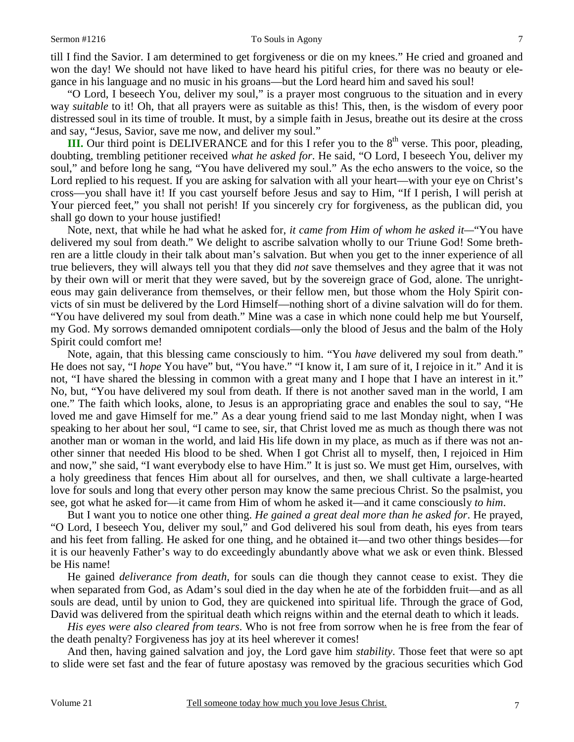till I find the Savior. I am determined to get forgiveness or die on my knees." He cried and groaned and won the day! We should not have liked to have heard his pitiful cries, for there was no beauty or elegance in his language and no music in his groans—but the Lord heard him and saved his soul!

 "O Lord, I beseech You, deliver my soul," is a prayer most congruous to the situation and in every way *suitable* to it! Oh, that all prayers were as suitable as this! This, then, is the wisdom of every poor distressed soul in its time of trouble. It must, by a simple faith in Jesus, breathe out its desire at the cross and say, "Jesus, Savior, save me now, and deliver my soul."

**III.** Our third point is DELIVERANCE and for this I refer you to the  $8<sup>th</sup>$  verse. This poor, pleading, doubting, trembling petitioner received *what he asked for*. He said, "O Lord, I beseech You, deliver my soul," and before long he sang, "You have delivered my soul." As the echo answers to the voice, so the Lord replied to his request. If you are asking for salvation with all your heart—with your eye on Christ's cross—you shall have it! If you cast yourself before Jesus and say to Him, "If I perish, I will perish at Your pierced feet," you shall not perish! If you sincerely cry for forgiveness, as the publican did, you shall go down to your house justified!

 Note, next, that while he had what he asked for, *it came from Him of whom he asked it—*"You have delivered my soul from death." We delight to ascribe salvation wholly to our Triune God! Some brethren are a little cloudy in their talk about man's salvation. But when you get to the inner experience of all true believers, they will always tell you that they did *not* save themselves and they agree that it was not by their own will or merit that they were saved, but by the sovereign grace of God, alone. The unrighteous may gain deliverance from themselves, or their fellow men, but those whom the Holy Spirit convicts of sin must be delivered by the Lord Himself—nothing short of a divine salvation will do for them. "You have delivered my soul from death." Mine was a case in which none could help me but Yourself, my God. My sorrows demanded omnipotent cordials—only the blood of Jesus and the balm of the Holy Spirit could comfort me!

 Note, again, that this blessing came consciously to him. "You *have* delivered my soul from death." He does not say, "I *hope* You have" but, "You have." "I know it, I am sure of it, I rejoice in it." And it is not, "I have shared the blessing in common with a great many and I hope that I have an interest in it." No, but, "You have delivered my soul from death. If there is not another saved man in the world, I am one." The faith which looks, alone, to Jesus is an appropriating grace and enables the soul to say, "He loved me and gave Himself for me." As a dear young friend said to me last Monday night, when I was speaking to her about her soul, "I came to see, sir, that Christ loved me as much as though there was not another man or woman in the world, and laid His life down in my place, as much as if there was not another sinner that needed His blood to be shed. When I got Christ all to myself, then, I rejoiced in Him and now," she said, "I want everybody else to have Him." It is just so. We must get Him, ourselves, with a holy greediness that fences Him about all for ourselves, and then, we shall cultivate a large-hearted love for souls and long that every other person may know the same precious Christ. So the psalmist, you see, got what he asked for—it came from Him of whom he asked it—and it came consciously *to him*.

 But I want you to notice one other thing. *He gained a great deal more than he asked for*. He prayed, "O Lord, I beseech You, deliver my soul," and God delivered his soul from death, his eyes from tears and his feet from falling. He asked for one thing, and he obtained it—and two other things besides—for it is our heavenly Father's way to do exceedingly abundantly above what we ask or even think. Blessed be His name!

 He gained *deliverance from death,* for souls can die though they cannot cease to exist. They die when separated from God, as Adam's soul died in the day when he ate of the forbidden fruit—and as all souls are dead, until by union to God, they are quickened into spiritual life. Through the grace of God, David was delivered from the spiritual death which reigns within and the eternal death to which it leads.

*His eyes were also cleared from tears*. Who is not free from sorrow when he is free from the fear of the death penalty? Forgiveness has joy at its heel wherever it comes!

 And then, having gained salvation and joy, the Lord gave him *stability*. Those feet that were so apt to slide were set fast and the fear of future apostasy was removed by the gracious securities which God